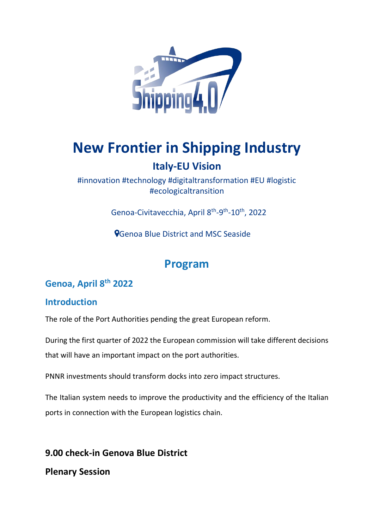

# **New Frontier in Shipping Industry**

# **Italy-EU Vision**

#innovation #technology #digitaltransformation #EU #logistic #ecologicaltransition

Genoa-Civitavecchia, April 8<sup>th</sup>-9<sup>th</sup>-10<sup>th</sup>, 2022

**9** Genoa Blue District and MSC Seaside

# **Program**

## **Genoa, April 8th 2022**

### **Introduction**

The role of the Port Authorities pending the great European reform.

During the first quarter of 2022 the European commission will take different decisions that will have an important impact on the port authorities.

PNNR investments should transform docks into zero impact structures.

The Italian system needs to improve the productivity and the efficiency of the Italian ports in connection with the European logistics chain.

**9.00 check-in Genova Blue District**

**Plenary Session**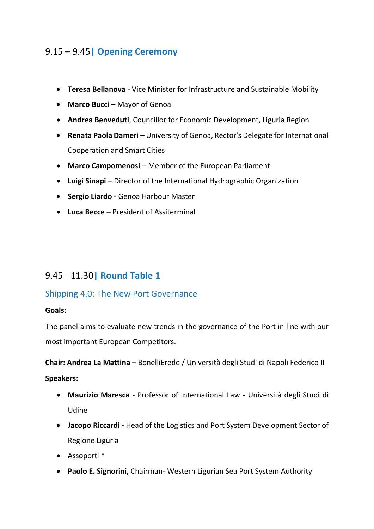### 9.15 – 9.45**| Opening Ceremony**

- **Teresa Bellanova** Vice Minister for Infrastructure and Sustainable Mobility
- Marco Bucci Mayor of Genoa
- **Andrea Benveduti**, Councillor for Economic Development, Liguria Region
- **Renata Paola Dameri** University of Genoa, Rector's Delegate for International Cooperation and Smart Cities
- Marco Campomenosi Member of the European Parliament
- **Luigi Sinapi** Director of the International Hydrographic Organization
- **Sergio Liardo**  Genoa Harbour Master
- **Luca Becce –** President of Assiterminal

### 9.45 - 11.30**| Round Table 1**

### Shipping 4.0: The New Port Governance

#### **Goals:**

The panel aims to evaluate new trends in the governance of the Port in line with our most important European Competitors.

**Chair: Andrea La Mattina –** BonelliErede / Università degli Studi di Napoli Federico II

#### **Speakers:**

- **Maurizio Maresca** Professor of International Law Università degli Studi di Udine
- **Jacopo Riccardi -** Head of the Logistics and Port System Development Sector of Regione Liguria
- Assoporti \*
- **Paolo E. Signorini,** Chairman- Western Ligurian Sea Port System Authority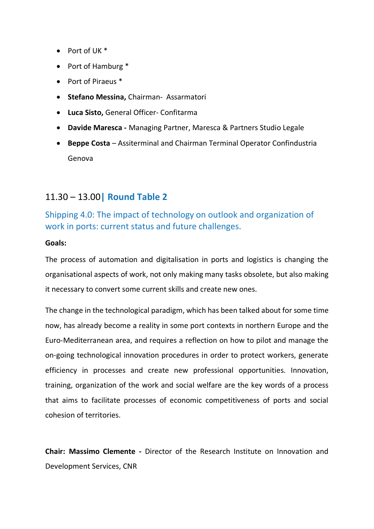- Port of UK \*
- Port of Hamburg \*
- Port of Piraeus \*
- **Stefano Messina,** Chairman- Assarmatori
- **Luca Sisto,** General Officer- Confitarma
- **Davide Maresca -** Managing Partner, Maresca & Partners Studio Legale
- **Beppe Costa**  Assiterminal and Chairman Terminal Operator Confindustria Genova

### 11.30 – 13.00**| Round Table 2**

Shipping 4.0: The impact of technology on outlook and organization of work in ports: current status and future challenges.

#### **Goals:**

The process of automation and digitalisation in ports and logistics is changing the organisational aspects of work, not only making many tasks obsolete, but also making it necessary to convert some current skills and create new ones.

The change in the technological paradigm, which has been talked about for some time now, has already become a reality in some port contexts in northern Europe and the Euro-Mediterranean area, and requires a reflection on how to pilot and manage the on-going technological innovation procedures in order to protect workers, generate efficiency in processes and create new professional opportunities. Innovation, training, organization of the work and social welfare are the key words of a process that aims to facilitate processes of economic competitiveness of ports and social cohesion of territories.

**Chair: Massimo Clemente -** Director of the Research Institute on Innovation and Development Services, CNR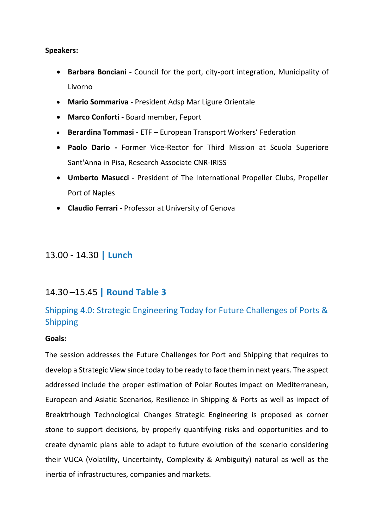#### **Speakers:**

- **Barbara Bonciani -** Council for the port, city-port integration, Municipality of Livorno
- **Mario Sommariva -** President Adsp Mar Ligure Orientale
- **Marco Conforti -** Board member, Feport
- **Berardina Tommasi -** ETF European Transport Workers' Federation
- **Paolo Dario -** Former Vice-Rector for Third Mission at Scuola Superiore Sant'Anna in Pisa, Research Associate CNR-IRISS
- **Umberto Masucci -** President of The International Propeller Clubs, Propeller Port of Naples
- **Claudio Ferrari -** Professor at University of Genova

### 13.00 - 14.30 **| Lunch**

### 14.30 –15.45 **| Round Table 3**

### Shipping 4.0: Strategic Engineering Today for Future Challenges of Ports & Shipping

#### **Goals:**

The session addresses the Future Challenges for Port and Shipping that requires to develop a Strategic View since today to be ready to face them in next years. The aspect addressed include the proper estimation of Polar Routes impact on Mediterranean, European and Asiatic Scenarios, Resilience in Shipping & Ports as well as impact of Breaktrhough Technological Changes Strategic Engineering is proposed as corner stone to support decisions, by properly quantifying risks and opportunities and to create dynamic plans able to adapt to future evolution of the scenario considering their VUCA (Volatility, Uncertainty, Complexity & Ambiguity) natural as well as the inertia of infrastructures, companies and markets.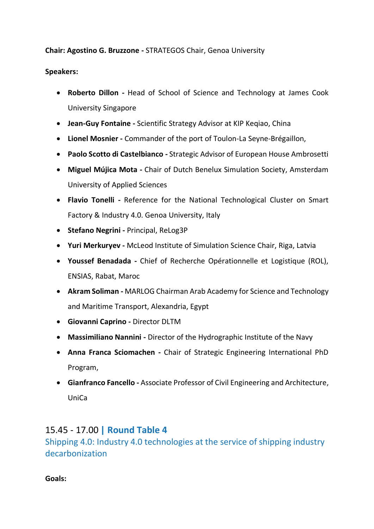#### **Chair: Agostino G. Bruzzone -** STRATEGOS Chair, Genoa University

#### **Speakers:**

- **Roberto Dillon -** Head of School of Science and Technology at James Cook University Singapore
- **Jean-Guy Fontaine -** Scientific Strategy Advisor at KIP Keqiao, China
- **Lionel Mosnier -** Commander of the port of Toulon-La Seyne-Brégaillon,
- **Paolo Scotto di Castelbianco -** Strategic Advisor of European House Ambrosetti
- **Miguel Mújica Mota -** Chair of Dutch Benelux Simulation Society, Amsterdam University of Applied Sciences
- **Flavio Tonelli -** Reference for the National Technological Cluster on Smart Factory & Industry 4.0. Genoa University, Italy
- **Stefano Negrini -** Principal, ReLog3P
- **Yuri Merkuryev -** McLeod Institute of Simulation Science Chair, Riga, Latvia
- **Youssef Benadada -** Chief of Recherche Opérationnelle et Logistique (ROL), ENSIAS, Rabat, Maroc
- **Akram Soliman -** MARLOG Chairman Arab Academy for Science and Technology and Maritime Transport, Alexandria, Egypt
- **Giovanni Caprino -** Director DLTM
- **Massimiliano Nannini -** Director of the Hydrographic Institute of the Navy
- **Anna Franca Sciomachen -** Chair of Strategic Engineering International PhD Program,
- **Gianfranco Fancello -** Associate Professor of Civil Engineering and Architecture, UniCa

### 15.45 - 17.00 **| Round Table 4**

Shipping 4.0: Industry 4.0 technologies at the service of shipping industry decarbonization

**Goals:**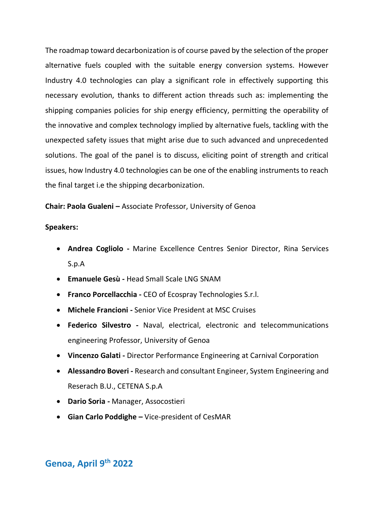The roadmap toward decarbonization is of course paved by the selection of the proper alternative fuels coupled with the suitable energy conversion systems. However Industry 4.0 technologies can play a significant role in effectively supporting this necessary evolution, thanks to different action threads such as: implementing the shipping companies policies for ship energy efficiency, permitting the operability of the innovative and complex technology implied by alternative fuels, tackling with the unexpected safety issues that might arise due to such advanced and unprecedented solutions. The goal of the panel is to discuss, eliciting point of strength and critical issues, how Industry 4.0 technologies can be one of the enabling instruments to reach the final target i.e the shipping decarbonization.

**Chair: Paola Gualeni –** Associate Professor, University of Genoa

#### **Speakers:**

- **Andrea Cogliolo -** Marine Excellence Centres Senior Director, Rina Services S.p.A
- **Emanuele Gesù -** Head Small Scale LNG SNAM
- **Franco Porcellacchia -** CEO of Ecospray Technologies S.r.l.
- **Michele Francioni -** Senior Vice President at MSC Cruises
- **Federico Silvestro -** Naval, electrical, electronic and telecommunications engineering Professor, University of Genoa
- **Vincenzo Galati -** Director Performance Engineering at Carnival Corporation
- **Alessandro Boveri -** Research and consultant Engineer, System Engineering and Reserach B.U., CETENA S.p.A
- **Dario Soria -** Manager, Assocostieri
- **Gian Carlo Poddighe –** Vice-president of CesMAR

### **Genoa, April 9th 2022**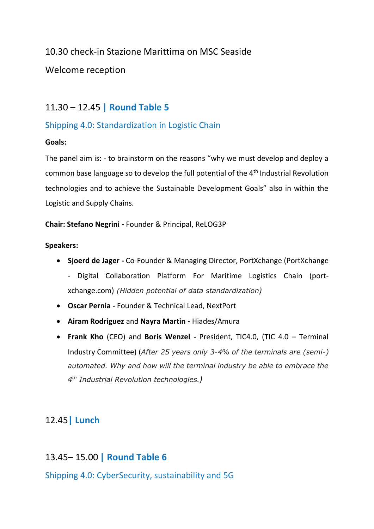### 10.30 check-in Stazione Marittima on MSC Seaside

Welcome reception

### 11.30 – 12.45 **| Round Table 5**

### Shipping 4.0: Standardization in Logistic Chain

#### **Goals:**

The panel aim is: - to brainstorm on the reasons "why we must develop and deploy a common base language so to develop the full potential of the 4<sup>th</sup> Industrial Revolution technologies and to achieve the Sustainable Development Goals" also in within the Logistic and Supply Chains.

**Chair: Stefano Negrini -** Founder & Principal, ReLOG3P

#### **Speakers:**

- **Sjoerd de Jager -** Co-Founder & Managing Director, PortXchange [\(PortXchange](https://port-xchange.com/)  - [Digital Collaboration Platform For Maritime Logistics Chain \(port](https://port-xchange.com/)[xchange.com\)](https://port-xchange.com/) *(Hidden potential of data standardization)*
- **Oscar Pernia -** Founder & Technical Lead, NextPort
- **Airam Rodriguez** and **Nayra Martin -** Hiades/Amura
- **Frank Kho** (CEO) and **Boris Wenzel -** President, TIC4.0, (TIC 4.0 [Terminal](https://eur01.safelinks.protection.outlook.com/?url=https%3A%2F%2Ftic40.org%2F&data=04%7C01%7Cstefano.negrini%40terminalbettolo.com%7C7894409be6da4aebd21608d8e24725e8%7C088e9b00ffd0458ebfa1acf4c596d3cb%7C1%7C0%7C637508142513377321%7CUnknown%7CTWFpbGZsb3d8eyJWIjoiMC4wLjAwMDAiLCJQIjoiV2luMzIiLCJBTiI6Ik1haWwiLCJXVCI6Mn0%3D%7C1000&sdata=3iyAW7YxGda3rfnwlDABJVK8JWCtz7t0c1tXBCdwMH0%3D&reserved=0)  [Industry Committee\)](https://eur01.safelinks.protection.outlook.com/?url=https%3A%2F%2Ftic40.org%2F&data=04%7C01%7Cstefano.negrini%40terminalbettolo.com%7C7894409be6da4aebd21608d8e24725e8%7C088e9b00ffd0458ebfa1acf4c596d3cb%7C1%7C0%7C637508142513377321%7CUnknown%7CTWFpbGZsb3d8eyJWIjoiMC4wLjAwMDAiLCJQIjoiV2luMzIiLCJBTiI6Ik1haWwiLCJXVCI6Mn0%3D%7C1000&sdata=3iyAW7YxGda3rfnwlDABJVK8JWCtz7t0c1tXBCdwMH0%3D&reserved=0) (*After 25 years only 3-4% of the terminals are (semi-) automated. Why and how will the terminal industry be able to embrace the 4 th Industrial Revolution technologies.)*

### 12.45**| Lunch**

### 13.45– 15.00 **| Round Table 6**

Shipping 4.0: CyberSecurity, sustainability and 5G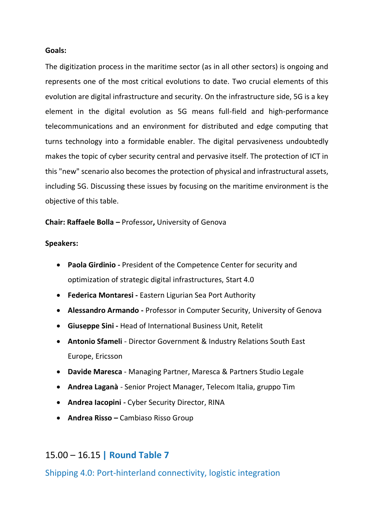#### **Goals:**

The digitization process in the maritime sector (as in all other sectors) is ongoing and represents one of the most critical evolutions to date. Two crucial elements of this evolution are digital infrastructure and security. On the infrastructure side, 5G is a key element in the digital evolution as 5G means full-field and high-performance telecommunications and an environment for distributed and edge computing that turns technology into a formidable enabler. The digital pervasiveness undoubtedly makes the topic of cyber security central and pervasive itself. The protection of ICT in this "new" scenario also becomes the protection of physical and infrastructural assets, including 5G. Discussing these issues by focusing on the maritime environment is the objective of this table.

**Chair: Raffaele Bolla –** Professor**,** University of Genova

#### **Speakers:**

- **Paola Girdinio -** President of the Competence Center for security and optimization of strategic digital infrastructures, Start 4.0
- **Federica Montaresi -** Eastern Ligurian Sea Port Authority
- **Alessandro Armando -** Professor in Computer Security, University of Genova
- **Giuseppe Sini -** Head of International Business Unit, Retelit
- **Antonio Sfameli** Director Government & Industry Relations South East Europe, Ericsson
- **Davide Maresca** Managing Partner, Maresca & Partners Studio Legale
- **Andrea Laganà**  Senior Project Manager, Telecom Italia, gruppo Tim
- **Andrea Iacopini -** Cyber Security Director, RINA
- **Andrea Risso –** Cambiaso Risso Group

### 15.00 – 16.15 **| Round Table 7**

Shipping 4.0: Port-hinterland connectivity, logistic integration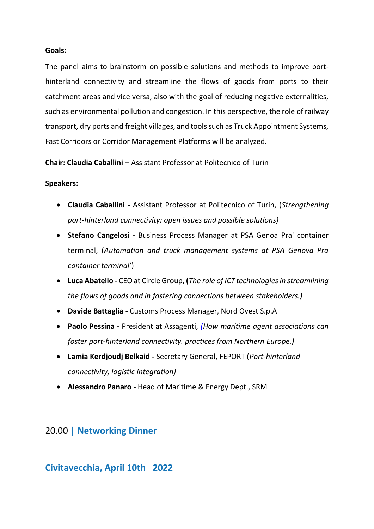#### **Goals:**

The panel aims to brainstorm on possible solutions and methods to improve porthinterland connectivity and streamline the flows of goods from ports to their catchment areas and vice versa, also with the goal of reducing negative externalities, such as environmental pollution and congestion. In this perspective, the role of railway transport, dry ports and freight villages, and tools such as Truck Appointment Systems, Fast Corridors or Corridor Management Platforms will be analyzed.

**Chair: Claudia Caballini –** Assistant Professor at Politecnico of Turin

#### **Speakers:**

- **Claudia Caballini -** Assistant Professor at Politecnico of Turin, (*Strengthening port-hinterland connectivity: open issues and possible solutions)*
- **Stefano Cangelosi -** Business Process Manager at PSA Genoa Pra' container terminal, (*Automation and truck management systems at PSA Genova Pra container terminal'*)
- **Luca Abatello -** CEO at Circle Group, **(***The role of ICT technologies in streamlining the flows of goods and in fostering connections between stakeholders.)*
- **Davide Battaglia -** Customs Process Manager, Nord Ovest S.p.A
- **Paolo Pessina -** President at Assagenti, *(How maritime agent associations can foster port-hinterland connectivity. practices from Northern Europe.)*
- **Lamia Kerdjoudj Belkaid -** Secretary General, FEPORT (*Port-hinterland connectivity, logistic integration)*
- **Alessandro Panaro -** Head of Maritime & Energy Dept., SRM

### 20.00 **| Networking Dinner**

#### **Civitavecchia, April 10th 2022**